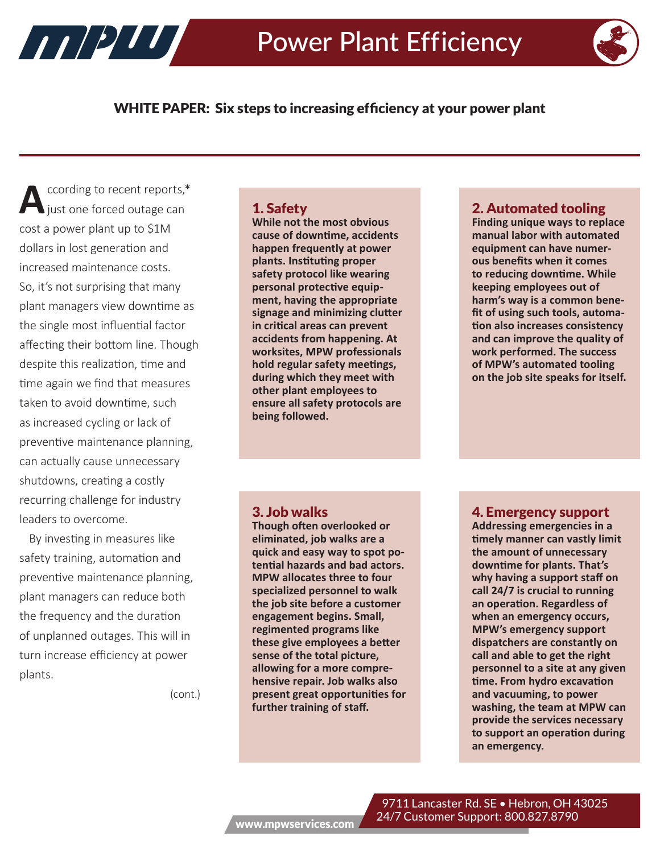

## WHITE PAPER: Six steps to increasing efficiency at your power plant

ccording to recent reports,\* just one forced outage can cost a power plant up to \$1M dollars in lost generation and increased maintenance costs. So, it's not surprising that many plant managers view downtime as the single most influential factor affecting their bottom line. Though despite this realization, time and time again we find that measures taken to avoid downtime, such as increased cycling or lack of preventive maintenance planning, can actually cause unnecessary shutdowns, creating a costly recurring challenge for industry leaders to overcome.

HIPIU

By investing in measures like safety training, automation and preventive maintenance planning, plant managers can reduce both the frequency and the duration of unplanned outages. This will in turn increase efficiency at power plants.

(cont.)

#### 1. Safety

**While not the most obvious cause of downtime, accidents happen frequently at power plants. Instituting proper safety protocol like wearing personal protective equipment, having the appropriate signage and minimizing clutter in critical areas can prevent accidents from happening. At worksites, MPW professionals hold regular safety meetings, during which they meet with other plant employees to ensure all safety protocols are being followed.** 

#### 3. Job walks

**Though often overlooked or eliminated, job walks are a quick and easy way to spot potential hazards and bad actors. MPW allocates three to four specialized personnel to walk the job site before a customer engagement begins. Small, regimented programs like these give employees a better sense of the total picture, allowing for a more comprehensive repair. Job walks also present great opportunities for further training of staff.** 

#### 2. Automated tooling

**Finding unique ways to replace manual labor with automated equipment can have numerous benefits when it comes to reducing downtime. While keeping employees out of harm's way is a common benefit of using such tools, automation also increases consistency and can improve the quality of work performed. The success of MPW's automated tooling on the job site speaks for itself.**

#### 4. Emergency support

**Addressing emergencies in a timely manner can vastly limit the amount of unnecessary downtime for plants. That's why having a support staff on call 24/7 is crucial to running an operation. Regardless of when an emergency occurs, MPW's emergency support dispatchers are constantly on call and able to get the right personnel to a site at any given time. From hydro excavation and vacuuming, to power washing, the team at MPW can provide the services necessary to support an operation during an emergency.**